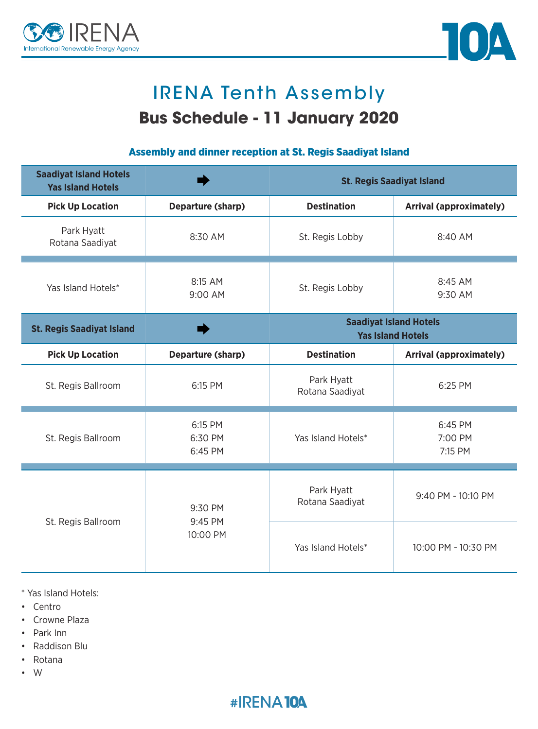



# **IRENA Tenth Assembly Bus Schedule - 11 January 2020**

### Assembly and dinner reception at St. Regis Saadiyat Island

| <b>Saadiyat Island Hotels</b><br><b>Yas Island Hotels</b> |                                | <b>St. Regis Saadiyat Island</b>                          |                                |
|-----------------------------------------------------------|--------------------------------|-----------------------------------------------------------|--------------------------------|
| <b>Pick Up Location</b>                                   | Departure (sharp)              | <b>Destination</b>                                        | <b>Arrival (approximately)</b> |
| Park Hyatt<br>Rotana Saadiyat                             | 8:30 AM                        | St. Regis Lobby                                           | $8:40$ AM                      |
| Yas Island Hotels*                                        | 8:15 AM<br>9:00 AM             | St. Regis Lobby                                           | 8:45 AM<br>9:30 AM             |
| <b>St. Regis Saadiyat Island</b>                          |                                | <b>Saadiyat Island Hotels</b><br><b>Yas Island Hotels</b> |                                |
| <b>Pick Up Location</b>                                   | Departure (sharp)              | <b>Destination</b>                                        | <b>Arrival (approximately)</b> |
| St. Regis Ballroom                                        | 6:15 PM                        | Park Hyatt<br>Rotana Saadiyat                             | 6:25 PM                        |
| St. Regis Ballroom                                        | 6:15 PM<br>6:30 PM<br>6:45 PM  | Yas Island Hotels*                                        | 6:45 PM<br>7:00 PM<br>7:15 PM  |
| St. Regis Ballroom                                        | 9:30 PM<br>9:45 PM<br>10:00 PM | Park Hyatt<br>Rotana Saadiyat                             | 9:40 PM - 10:10 PM             |
|                                                           |                                | Yas Island Hotels*                                        | 10:00 PM - 10:30 PM            |

\* Yas Island Hotels:

- Centro
- Crowne Plaza
- Park Inn
- Raddison Blu
- Rotana
- W•

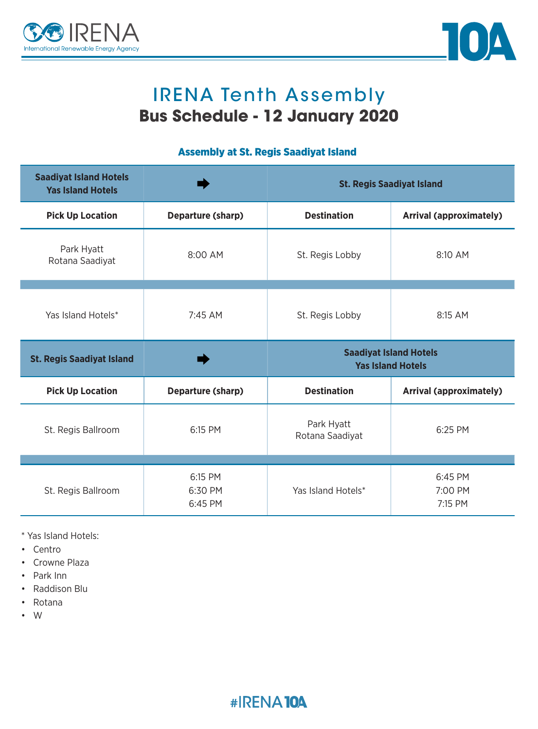



## IRENA Tenth Assembly **Bus Schedule - 12 January 2020**

### Assembly at St. Regis Saadiyat Island

| <b>Saadiyat Island Hotels</b><br><b>Yas Island Hotels</b> |                   | <b>St. Regis Saadiyat Island</b>                          |                                |
|-----------------------------------------------------------|-------------------|-----------------------------------------------------------|--------------------------------|
| <b>Pick Up Location</b>                                   | Departure (sharp) | <b>Destination</b>                                        | <b>Arrival (approximately)</b> |
| Park Hyatt<br>Rotana Saadiyat                             | 8:00 AM           | St. Regis Lobby                                           | 8:10 AM                        |
|                                                           |                   |                                                           |                                |
| Yas Island Hotels*                                        | 7:45 AM           | St. Regis Lobby                                           | 8:15 AM                        |
|                                                           |                   | <b>Saadiyat Island Hotels</b><br><b>Yas Island Hotels</b> |                                |
| <b>St. Regis Saadiyat Island</b>                          |                   |                                                           |                                |
| <b>Pick Up Location</b>                                   | Departure (sharp) | <b>Destination</b>                                        | <b>Arrival (approximately)</b> |
| St. Regis Ballroom                                        | 6:15 PM           | Park Hyatt<br>Rotana Saadiyat                             | 6:25 PM                        |
|                                                           |                   |                                                           |                                |

\* Yas Island Hotels:

- Centro
- Crowne Plaza
- Park Inn
- Raddison Blu
- Rotana
- W•

### #IRENA10A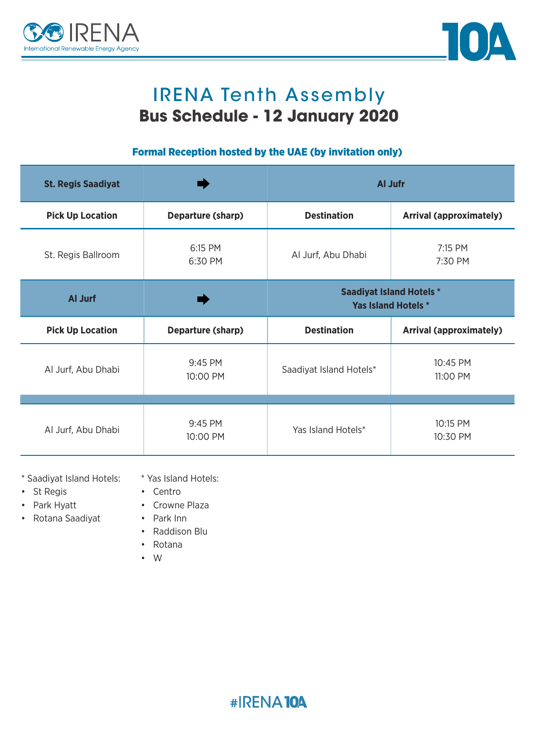



## **IRENA Tenth Assembly Bus Schedule - 12 January 2020**

### Formal Reception hosted by the UAE (by invitation only)

| <b>St. Regis Saadiyat</b> |                     | Al Jufr                                                       |                                |
|---------------------------|---------------------|---------------------------------------------------------------|--------------------------------|
| <b>Pick Up Location</b>   | Departure (sharp)   | <b>Destination</b>                                            | <b>Arrival (approximately)</b> |
| St. Regis Ballroom        | 6:15 PM<br>6:30 PM  | Al Jurf, Abu Dhabi                                            | 7:15 PM<br>7:30 PM             |
| Al Jurf                   |                     | <b>Saadiyat Island Hotels *</b><br><b>Yas Island Hotels *</b> |                                |
|                           |                     |                                                               |                                |
| <b>Pick Up Location</b>   | Departure (sharp)   | <b>Destination</b>                                            | <b>Arrival (approximately)</b> |
| Al Jurf, Abu Dhabi        | 9:45 PM<br>10:00 PM | Saadiyat Island Hotels*                                       | 10:45 PM<br>11:00 PM           |
|                           |                     |                                                               |                                |

\* Yas Island Hotels: \* Saadiyat Island Hotels:

- St Regis
- Centro
- Park Hyatt
- Crowne Plaza • Park Inn
- Rotana Saadiyat
- Raddison Blu
- Rotana
- W•